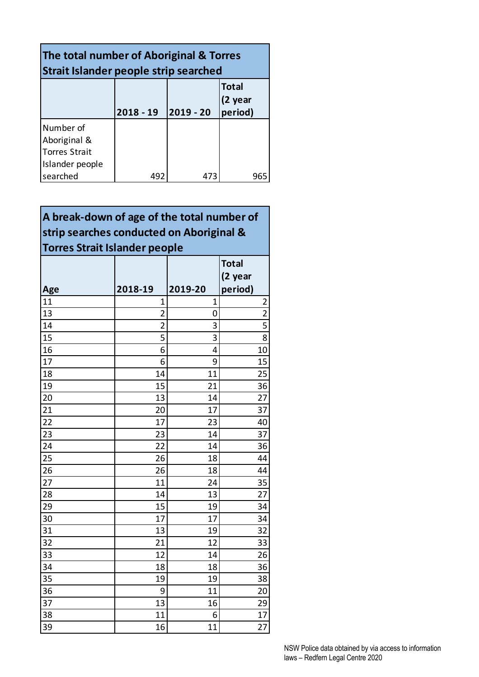| The total number of Aboriginal & Torres<br><b>Strait Islander people strip searched</b> |                                                                |     |     |  |  |
|-----------------------------------------------------------------------------------------|----------------------------------------------------------------|-----|-----|--|--|
|                                                                                         | <b>Total</b><br>(2 year<br>period)<br>2019 - 20<br>$2018 - 19$ |     |     |  |  |
| Number of<br>Aboriginal &<br><b>Torres Strait</b><br>Islander people                    |                                                                |     |     |  |  |
| searched                                                                                | 492                                                            | 473 | 965 |  |  |

**A break-down of age of the total number of strip searches conducted on Aboriginal & Torres Strait Islander people**

|           | 2018-19        | 2019-20 | <b>Total</b><br>(2 year<br>period) |
|-----------|----------------|---------|------------------------------------|
| Age<br>11 | 1              | 1       | $\overline{\mathbf{c}}$            |
| 13        | $\overline{2}$ | 0       | $\overline{2}$                     |
| 14        | $\overline{2}$ | 3       | $\overline{5}$                     |
| 15        | 5              | 3       | $\overline{8}$                     |
| 16        | 6              | 4       | 10                                 |
| 17        | 6              | 9       | 15                                 |
| 18        | 14             | 11      | 25                                 |
| 19        | 15             | 21      | 36                                 |
| 20        | 13             | 14      | 27                                 |
| 21        | 20             | 17      | 37                                 |
| 22        | 17             | 23      | 40                                 |
| 23        | 23             | 14      | 37                                 |
| 24        | 22             | 14      | 36                                 |
| 25        | 26             | 18      | 44                                 |
| 26        | 26             | 18      | 44                                 |
| 27        | 11             | 24      | 35                                 |
| 28        | 14             | 13      | 27                                 |
| 29        | 15             | 19      | 34                                 |
| 30        | 17             | 17      | 34                                 |
| 31        | 13             | 19      | 32                                 |
| 32        | 21             | 12      | 33                                 |
| 33        | 12             | 14      | 26                                 |
| 34        | 18             | 18      | 36                                 |
| 35        | 19             | 19      | 38                                 |
| 36        | 9              | 11      | 20                                 |
| 37        | 13             | 16      | 29                                 |
| 38        | 11             | 6       | 17                                 |
| 39        | 16             | 11      | 27                                 |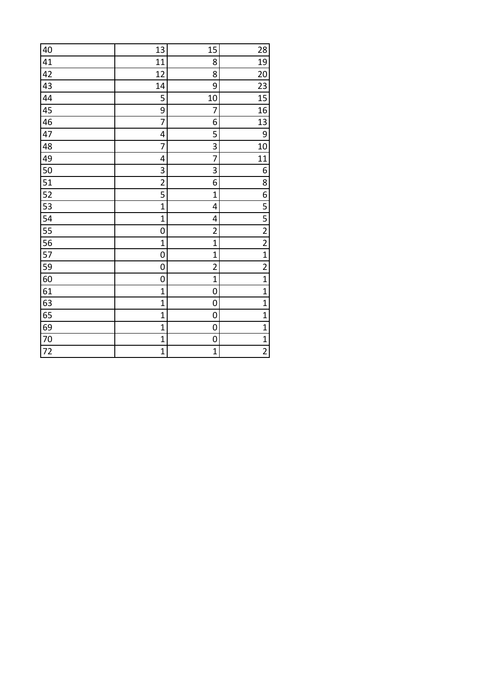| 40 | 13             | 15                      | 28                                   |
|----|----------------|-------------------------|--------------------------------------|
| 41 | 11             | 8                       | 19                                   |
| 42 | 12             | 8                       | 20                                   |
| 43 | 14             | 9                       | 23                                   |
| 44 | 5              | 10                      | 15                                   |
| 45 | 9              | 7                       | 16                                   |
| 46 | 7              | 6                       | 13                                   |
|    |                |                         |                                      |
| 47 | 4              | 5                       | 9                                    |
| 48 | 7              | 3                       | 10                                   |
| 49 | 4              | 7                       | 11                                   |
| 50 | 3              | 3                       | 6                                    |
| 51 | $\overline{2}$ | 6                       | 8                                    |
| 52 | 5              | $\overline{1}$          | 6                                    |
| 53 | $\mathbf 1$    | 4                       | 5                                    |
| 54 | $\mathbf 1$    | 4                       | $\overline{\overline{\overline{5}}}$ |
| 55 | 0              | $\overline{\mathbf{c}}$ |                                      |
| 56 | $\mathbf 1$    | $\mathbf 1$             | $\frac{2}{2}$                        |
| 57 | 0              | $\mathbf{1}$            | $\overline{1}$                       |
| 59 | 0              | $\overline{2}$          | $\overline{2}$                       |
| 60 | 0              | $\overline{1}$          | $\overline{1}$                       |
| 61 | $\overline{1}$ | 0                       | $\mathbf{1}$                         |
| 63 | $\mathbf 1$    | 0                       | $\overline{1}$                       |
| 65 | $\mathbf 1$    | 0                       | $\mathbf 1$                          |
| 69 | $\mathbf 1$    | 0                       | $\mathbf{1}$                         |
| 70 | $\mathbf 1$    | 0                       | $\mathbf{1}$                         |
| 72 | $\mathbf{1}$   | $\mathbf 1$             | $\overline{2}$                       |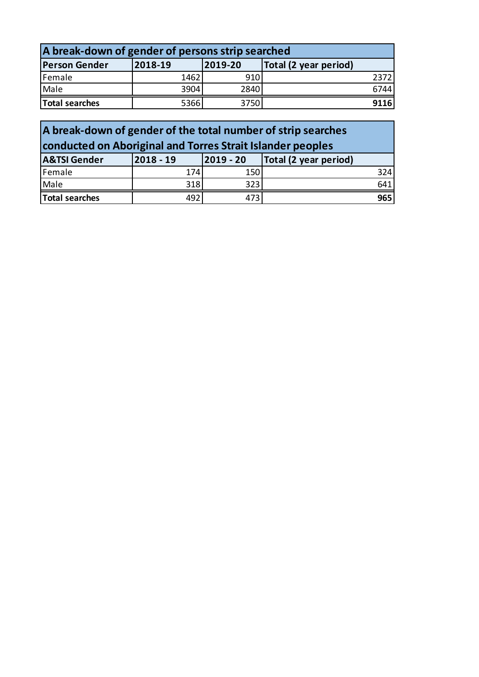| A break-down of gender of persons strip searched |         |         |                       |  |  |
|--------------------------------------------------|---------|---------|-----------------------|--|--|
| <b>Person Gender</b>                             | 2018-19 | 2019-20 | Total (2 year period) |  |  |
| Female                                           | 1462    | 910     | 2372                  |  |  |
| Male                                             | 3904    | 2840    | 6744                  |  |  |
| Total searches                                   | 5366    | 3750    | 9116                  |  |  |

| A break-down of gender of the total number of strip searches |                                                            |           |                       |  |  |  |
|--------------------------------------------------------------|------------------------------------------------------------|-----------|-----------------------|--|--|--|
|                                                              | conducted on Aboriginal and Torres Strait Islander peoples |           |                       |  |  |  |
| <b>A&amp;TSI Gender</b>                                      | $2018 - 19$                                                | 2019 - 20 | Total (2 year period) |  |  |  |
| Female                                                       | 174                                                        | 150       | 324                   |  |  |  |
| Male                                                         | 318                                                        | 323       | 641                   |  |  |  |
| Total searches                                               | 492                                                        | 473       | 965                   |  |  |  |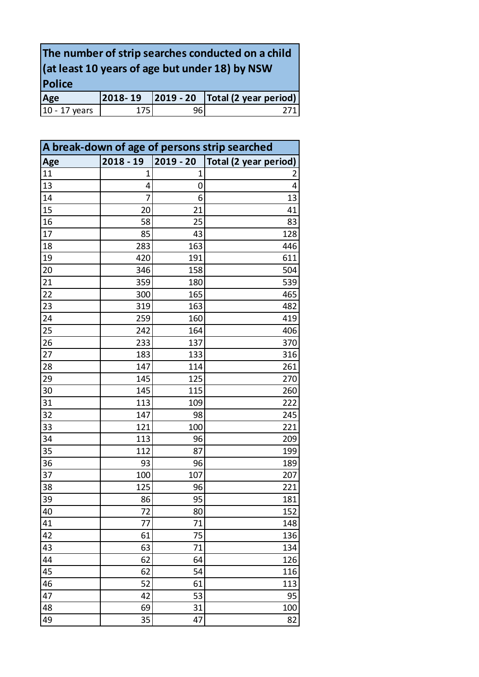| The number of strip searches conducted on a child                 |     |      |  |  |  |  |
|-------------------------------------------------------------------|-----|------|--|--|--|--|
| $($ at least 10 years of age but under 18) by NSW                 |     |      |  |  |  |  |
| <b>Police</b>                                                     |     |      |  |  |  |  |
| $\vert$ 2019 - 20 $\vert$ Total (2 year period)<br>2018-19<br>Age |     |      |  |  |  |  |
| 10 - 17 years                                                     | 175 | 96 I |  |  |  |  |

| A break-down of age of persons strip searched |             |             |                       |  |
|-----------------------------------------------|-------------|-------------|-----------------------|--|
| Age                                           | $2018 - 19$ | $2019 - 20$ | Total (2 year period) |  |
| 11                                            | 1           | 1           | 2                     |  |
| 13                                            | 4           | 0           | 4                     |  |
| 14                                            | 7           | 6           | 13                    |  |
| 15                                            | 20          | 21          | 41                    |  |
| 16                                            | 58          | 25          | 83                    |  |
| 17                                            | 85          | 43          | 128                   |  |
| 18                                            | 283         | 163         | 446                   |  |
| 19                                            | 420         | 191         | 611                   |  |
| 20                                            | 346         | 158         | 504                   |  |
| 21                                            | 359         | 180         | 539                   |  |
| 22                                            | 300         | 165         | 465                   |  |
| 23                                            | 319         | 163         | 482                   |  |
| 24                                            | 259         | 160         | 419                   |  |
| 25                                            | 242         | 164         | 406                   |  |
| 26                                            | 233         | 137         | 370                   |  |
| 27                                            | 183         | 133         | 316                   |  |
| 28                                            | 147         | 114         | 261                   |  |
| 29                                            | 145         | 125         | 270                   |  |
| 30                                            | 145         | 115         | 260                   |  |
| 31                                            | 113         | 109         | 222                   |  |
| 32                                            | 147         | 98          | 245                   |  |
| 33                                            | 121         | 100         | 221                   |  |
| 34                                            | 113         | 96          | 209                   |  |
| 35                                            | 112         | 87          | 199                   |  |
| 36                                            | 93          | 96          | 189                   |  |
| 37                                            | 100         | 107         | 207                   |  |
| 38                                            | 125         | 96          | 221                   |  |
| 39                                            | 86          | 95          | 181                   |  |
| 40                                            | 72          | 80          | 152                   |  |
| 41                                            | 77          | 71          | 148                   |  |
| 42                                            | 61          | 75          | 136                   |  |
| 43                                            | 63          | 71          | 134                   |  |
| 44                                            | 62          | 64          | 126                   |  |
| 45                                            | 62          | 54          | 116                   |  |
| 46                                            | 52          | 61          | 113                   |  |
| 47                                            | 42          | 53          | 95                    |  |
| 48                                            | 69          | 31          | 100                   |  |
| 49                                            | 35          | 47          | 82                    |  |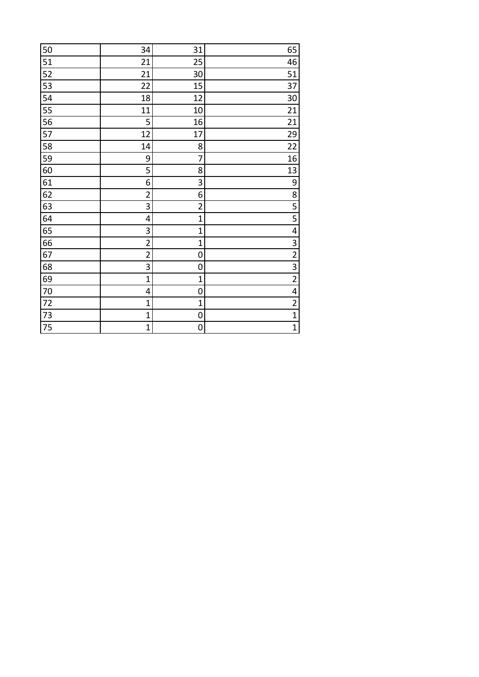| 50 | 34             | 31                      | 65                      |
|----|----------------|-------------------------|-------------------------|
| 51 | 21             | 25                      | 46                      |
| 52 | 21             | 30                      | 51                      |
| 53 | 22             | 15                      | 37                      |
| 54 | 18             | 12                      | 30                      |
| 55 | 11             | 10                      | 21                      |
| 56 | 5              | 16                      | 21                      |
| 57 | 12             | 17                      | 29                      |
| 58 | 14             | 8                       | 22                      |
| 59 | 9              | 7                       | 16                      |
| 60 | 5              | 8                       | 13                      |
| 61 | 6              | 3                       | 9                       |
| 62 | $\overline{2}$ | 6                       | $\overline{\bf 8}$      |
| 63 | 3              | $\overline{\mathbf{c}}$ | 5                       |
| 64 | 4              | $\mathbf 1$             | 5                       |
| 65 | 3              | 1                       | 4                       |
| 66 | $\overline{2}$ | $\mathbf 1$             | 3                       |
| 67 | $\overline{c}$ | 0                       | $\overline{2}$          |
| 68 | 3              | 0                       | $\overline{3}$          |
| 69 | $\overline{1}$ | $\mathbf 1$             | $\overline{2}$          |
| 70 | 4              | 0                       | $\overline{\mathbf{4}}$ |
| 72 | $\overline{1}$ | $\mathbf 1$             | $\overline{2}$          |
| 73 | $\mathbf 1$    | 0                       | $\overline{1}$          |
| 75 | $\mathbf 1$    | 0                       | $\mathbf{1}$            |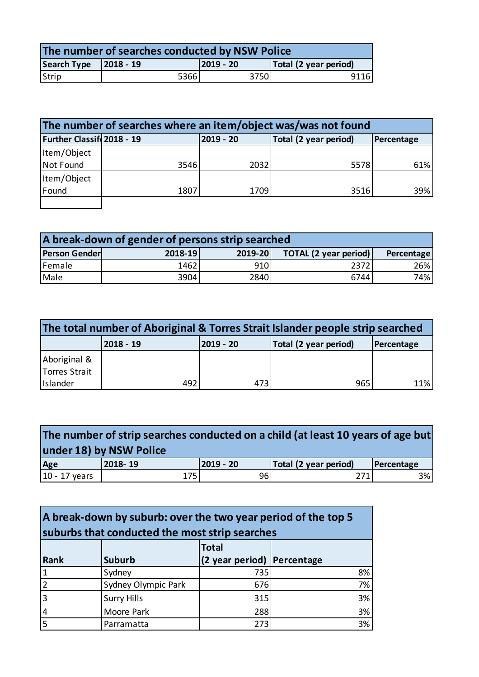| The number of searches conducted by NSW Police |      |           |                       |  |  |
|------------------------------------------------|------|-----------|-----------------------|--|--|
| Search Type $\vert$ 2018 - 19                  |      | 2019 - 20 | Total (2 year period) |  |  |
| Strip                                          | 5366 | 3750      | 9116                  |  |  |

| The number of searches where an item/object was/was not found                 |      |      |      |     |  |
|-------------------------------------------------------------------------------|------|------|------|-----|--|
| Further Classif 2018 - 19<br>2019 - 20<br>Total (2 year period)<br>Percentage |      |      |      |     |  |
| Item/Object                                                                   |      |      |      |     |  |
| Not Found                                                                     | 3546 | 2032 | 5578 | 61% |  |
| Item/Object                                                                   |      |      |      |     |  |
| Found                                                                         | 1807 | 1709 | 3516 | 39% |  |
|                                                                               |      |      |      |     |  |

| A break-down of gender of persons strip searched |         |         |                              |            |  |
|--------------------------------------------------|---------|---------|------------------------------|------------|--|
| <b>Person Gender</b>                             | 2018-19 | 2019-20 | <b>TOTAL (2 year period)</b> | Percentage |  |
| Female                                           | 1462    | 910     | 2372                         | 26%        |  |
| Male                                             | 3904    | 2840    | 6744                         | 74%        |  |

| The total number of Aboriginal & Torres Strait Islander people strip searched |                                                               |      |     |     |  |  |
|-------------------------------------------------------------------------------|---------------------------------------------------------------|------|-----|-----|--|--|
|                                                                               | Total (2 year period)<br>2018 - 19<br>2019 - 20<br>Percentage |      |     |     |  |  |
| Aboriginal &<br>Torres Strait                                                 |                                                               |      |     |     |  |  |
| Islander                                                                      | 492                                                           | 4731 | 965 | 11% |  |  |

| The number of strip searches conducted on a child (at least 10 years of age but<br>under 18) by NSW Police |         |           |                       |            |  |
|------------------------------------------------------------------------------------------------------------|---------|-----------|-----------------------|------------|--|
| Age                                                                                                        | 2018-19 | 2019 - 20 | Total (2 year period) | Percentage |  |
| $10 - 17$ years                                                                                            | 175     | 96        |                       | 3%         |  |

| A break-down by suburb: over the two year period of the top 5<br>suburbs that conducted the most strip searches |                     |                            |    |  |
|-----------------------------------------------------------------------------------------------------------------|---------------------|----------------------------|----|--|
|                                                                                                                 |                     | <b>Total</b>               |    |  |
| Rank                                                                                                            | <b>Suburb</b>       | (2 year period) Percentage |    |  |
|                                                                                                                 | Sydney              | 735                        | 8% |  |
|                                                                                                                 | Sydney Olympic Park | 676                        | 7% |  |
| 3                                                                                                               | <b>Surry Hills</b>  | 315                        | 3% |  |
| 4                                                                                                               | Moore Park          | 288                        | 3% |  |
|                                                                                                                 | Parramatta          | 273                        | 3% |  |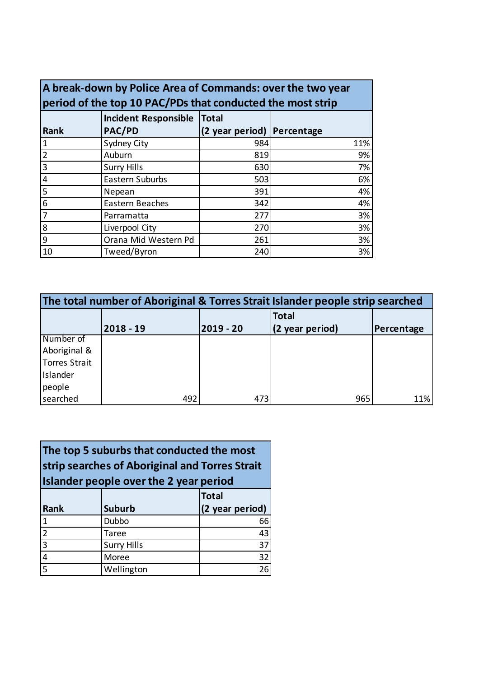| A break-down by Police Area of Commands: over the two year |                                                            |                 |            |  |  |
|------------------------------------------------------------|------------------------------------------------------------|-----------------|------------|--|--|
|                                                            | period of the top 10 PAC/PDs that conducted the most strip |                 |            |  |  |
|                                                            | <b>Incident Responsible</b><br><b>Total</b>                |                 |            |  |  |
| <b>Rank</b>                                                | PAC/PD                                                     | (2 year period) | Percentage |  |  |
| $\mathbf 1$                                                | Sydney City                                                | 984             | 11%        |  |  |
| $\overline{2}$                                             | Auburn                                                     | 819             | 9%         |  |  |
| 3                                                          | <b>Surry Hills</b>                                         | 630             | 7%         |  |  |
| 4                                                          | Eastern Suburbs                                            | 503             | 6%         |  |  |
| 5                                                          | Nepean                                                     | 391             | 4%         |  |  |
| 6                                                          | Eastern Beaches                                            | 342             | 4%         |  |  |
| 7                                                          | Parramatta                                                 | 277             | 3%         |  |  |
| 8                                                          | Liverpool City                                             | 270             | 3%         |  |  |
| 9                                                          | Orana Mid Western Pd                                       | 261             | 3%         |  |  |
| 10                                                         | Tweed/Byron                                                | 240             | 3%         |  |  |

| The total number of Aboriginal & Torres Strait Islander people strip searched |             |             |                                 |            |  |
|-------------------------------------------------------------------------------|-------------|-------------|---------------------------------|------------|--|
|                                                                               | $2018 - 19$ | $2019 - 20$ | <b>Total</b><br>(2 year period) | Percentage |  |
| Number of                                                                     |             |             |                                 |            |  |
| Aboriginal &                                                                  |             |             |                                 |            |  |
| Torres Strait                                                                 |             |             |                                 |            |  |
| Islander                                                                      |             |             |                                 |            |  |
| people                                                                        |             |             |                                 |            |  |
| searched                                                                      | 492         | 473         | 965                             | 11%        |  |

| The top 5 suburbs that conducted the most      |
|------------------------------------------------|
| strip searches of Aboriginal and Torres Strait |
| Islander people over the 2 year period         |

|                |                    | <b>Total</b>    |
|----------------|--------------------|-----------------|
| Rank           | <b>Suburb</b>      | (2 year period) |
|                | Dubbo              | 66              |
| $\overline{2}$ | <b>Taree</b>       | 43              |
| $\overline{3}$ | <b>Surry Hills</b> | 37              |
|                | Moree              | 32              |
|                | Wellington         | 26              |
|                |                    |                 |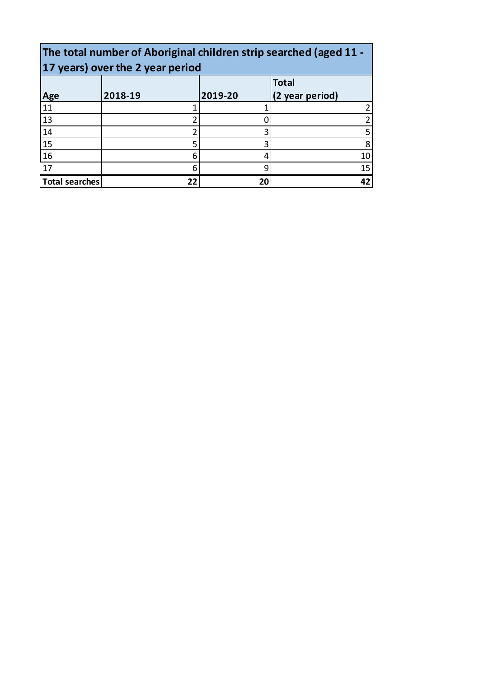| The total number of Aboriginal children strip searched (aged 11 -<br>17 years) over the 2 year period |         |         |                                 |  |  |
|-------------------------------------------------------------------------------------------------------|---------|---------|---------------------------------|--|--|
| Age                                                                                                   | 2018-19 | 2019-20 | <b>Total</b><br>(2 year period) |  |  |
| 11                                                                                                    |         |         |                                 |  |  |
| 13                                                                                                    |         |         |                                 |  |  |
| 14                                                                                                    |         |         | 5                               |  |  |
| 15                                                                                                    | 5       |         | 8                               |  |  |
| 16                                                                                                    | 6       |         | 10                              |  |  |
| 17                                                                                                    | 6       | a       | 15                              |  |  |
| <b>Total searches</b><br>22<br>20<br>42                                                               |         |         |                                 |  |  |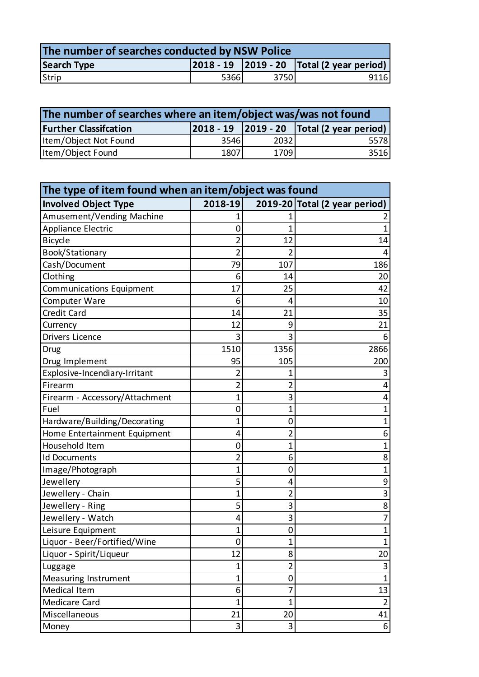| The number of searches conducted by NSW Police                                   |       |       |      |  |
|----------------------------------------------------------------------------------|-------|-------|------|--|
| $\vert$ 2018 - 19 $\vert$ 2019 - 20 $\vert$ Total (2 year period)<br>Search Type |       |       |      |  |
| Strip                                                                            | 53661 | 37501 | 9116 |  |

| The number of searches where an item/object was/was not found                     |      |      |       |  |
|-----------------------------------------------------------------------------------|------|------|-------|--|
| $ 2018 - 19 $ $ 2019 - 20 $ Total (2 year period)<br><b>Further Classifcation</b> |      |      |       |  |
| Item/Object Not Found                                                             | 3546 | 2032 | 55781 |  |
| Item/Object Found                                                                 | 1807 | 1709 | 3516  |  |

| The type of item found when an item/object was found |                |                |                               |  |
|------------------------------------------------------|----------------|----------------|-------------------------------|--|
| <b>Involved Object Type</b>                          | 2018-19        |                | 2019-20 Total (2 year period) |  |
| Amusement/Vending Machine                            |                |                |                               |  |
| Appliance Electric                                   | 0              | 1              | $\mathbf{1}$                  |  |
| <b>Bicycle</b>                                       | $\overline{c}$ | 12             | 14                            |  |
| Book/Stationary                                      | $\overline{2}$ | $\overline{2}$ | 4                             |  |
| Cash/Document                                        | 79             | 107            | 186                           |  |
| Clothing                                             | 6              | 14             | 20                            |  |
| Communications Equipment                             | 17             | 25             | 42                            |  |
| Computer Ware                                        | 6              | 4              | 10                            |  |
| Credit Card                                          | 14             | 21             | 35                            |  |
| Currency                                             | 12             | 9              | 21                            |  |
| Drivers Licence                                      | 3              | 3              | 6                             |  |
| Drug                                                 | 1510           | 1356           | 2866                          |  |
| Drug Implement                                       | 95             | 105            | 200                           |  |
| Explosive-Incendiary-Irritant                        | $\overline{2}$ | 1              | 3                             |  |
| Firearm                                              | $\overline{2}$ | 2              | 4                             |  |
| Firearm - Accessory/Attachment                       | 1              | 3              | 4                             |  |
| Fuel                                                 | 0              | 1              | 1                             |  |
| Hardware/Building/Decorating                         | 1              | 0              | 1                             |  |
| Home Entertainment Equipment                         | 4              | $\overline{2}$ | 6                             |  |
| Household Item                                       | 0              | 1              | $\mathbf{1}$                  |  |
| <b>Id Documents</b>                                  | $\overline{2}$ | 6              | 8                             |  |
| Image/Photograph                                     | 1              | 0              | $\overline{1}$                |  |
| Jewellery                                            | 5              | 4              | 9                             |  |
| Jewellery - Chain                                    | 1              | $\overline{2}$ | 3                             |  |
| Jewellery - Ring                                     | 5              | 3              | 8                             |  |
| Jewellery - Watch                                    | 4              | 3              | 7                             |  |
| Leisure Equipment                                    | 1              | 0              | 1                             |  |
| Liquor - Beer/Fortified/Wine                         | $\mathbf 0$    | $\mathbf 1$    |                               |  |
| Liquor - Spirit/Liqueur                              | 12             | 8              | 20                            |  |
| Luggage                                              | $\overline{1}$ | $\overline{2}$ | 3                             |  |
| <b>Measuring Instrument</b>                          | $\mathbf 1$    | 0              | $\mathbf{1}$                  |  |
| Medical Item                                         | 6              | 7              | 13                            |  |
| Medicare Card                                        | $\overline{1}$ | 1              | $\overline{2}$                |  |
| Miscellaneous                                        | 21             | 20             | 41                            |  |
| Money                                                | 3              | 3              | 6                             |  |